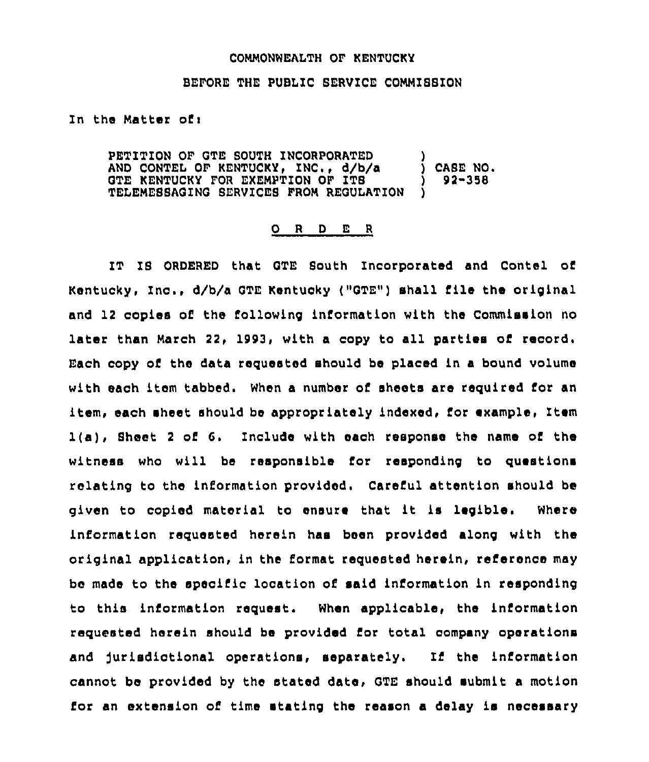## COMMONWEALTH OF KENTUCKY

## BEFORE THE PUBLIC SERVICE COMMISSION

## In the Matter of:

PETITION OF GTE SOUTH INCORPORATED AND CONTEL OF KENTUCKY, INC., d/b/a ) CASE NO.<br>GTE KENTUCKY FOR EXEMPTION OF ITS ) 92-358 GTE KENTUCKY FOR EXEMPTION OF ITS (9)<br>TELEMESSAGING SERVICES FROM REGULATION (9) TELEMESSAGING SERVICES FROM REGULATION

## 0 <sup>R</sup> <sup>D</sup> E <sup>R</sup>

IT IS ORDERED that QTE South Incorporated and Contel of Kentucky, Inc., d/b/a GTE Kentucky ("GTE") shall file the origina and 12 copies of the following information with the Commission no later than March 22, 1993, with a copy to all parties of record. Each copy of the data requested should be placed in a bound volume with each item tabbed. When a number of sheets are required for an item, each sheet should be appropriately indexed, for example, Item l(a), Sheet <sup>2</sup> of G. Include with each response the name of the witness who will be responsible for responding to questions relating to the information provided. Careful attention should be given to copied material to ensure that it is legible. Where information requested herein has been provided along with the original application, in the format requested herein, reference may be made to the specific location of said information in responding to this information request. When applicable, the information requested herein should be provided for total company operations and jurisdictional operations, separately, If the information cannot be provided by the stated date, QTE should submit a motion for an extension of time stating the reason a delay is necessary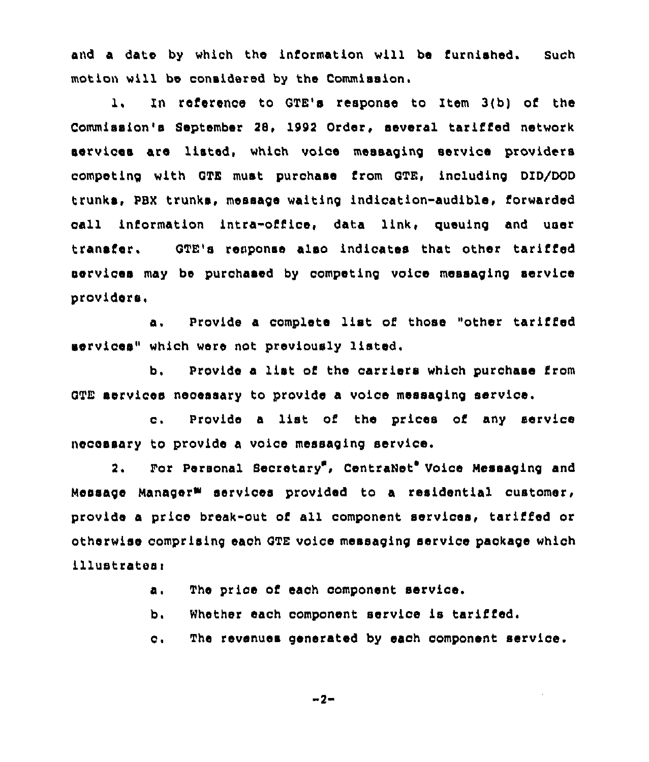and a date by which the 1nformation will be furnished. such motion will be considered by the Commission.

1. In reference to GTE's response to Item 3(b) of the Commission's September 28» 1992 Order, several tariffed network services are listed, which voice messaging service providers competing with GTE must purchase from GTE, including DID/DOD trunks, PBX trunks, message waiting indication-audible, Corwarded call information intra-office, data link, queuing and user transfer. OTE's response also indicates that other tariffed services may be purchased by competing voice massaging service providers,

a. Provide a complete list of those "other tariffed services" which were not previously listed.

b. Provide a list of the carriers which purchase from GTE aervices necessary to provide a voice messaging service.

c. Provide <sup>a</sup> list of the prices of any service necessary to provide a voice massaging service.

2. For Personal Secretary", CentraNet<sup>o</sup> Voice Messaging and Message Manager<sup>m</sup> services provided to a residential customer, provide a price break-out of all component services, tariffed or otherwiee comprising each OTE voice massaging service package which illustrates:

a. The price of each component service.

b» Whether each component service is tariffed.

 $C$ . The revenues generated by each oomponent service.

 $-2-$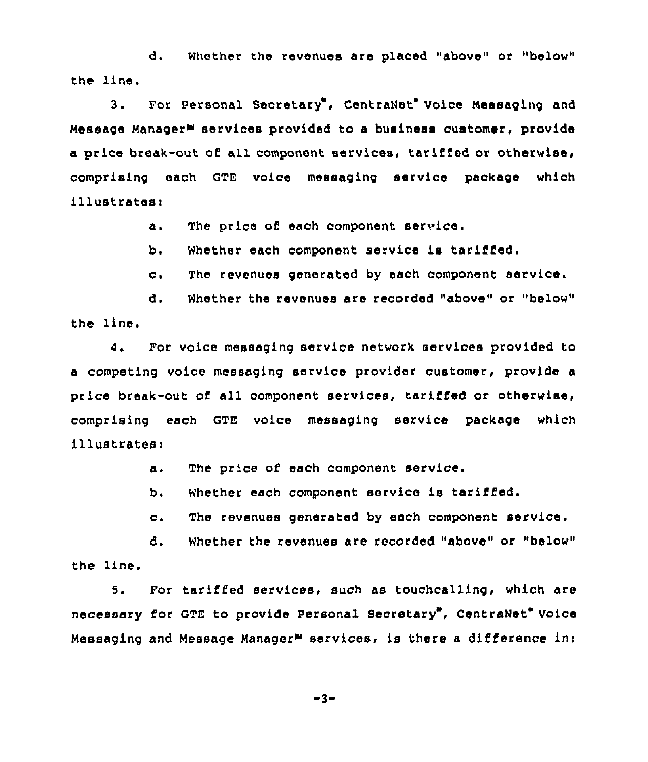d. Whether the revenues are placed "above" or "below" the line.

3. For Personal Secretary", CentraNet' Voice Messaging and Message Manager<sup>s services</sup> provided to a business customer, provide a price break-out of all component services, tariffed or otherwise, comprising each GTE voice massaging service paokage which illustrates:

a. The price of each component service.

b. Whether each component service is tariffed.

c. The revenues generated by each component service.

d. Whether the revenues are recorded "above" or "below" the line.

4. For voice massaging service network services provided to a competing voice massaging service provider customer, provide a price break-out of all component services, tariffed or otherwise, comprising each GTE voice massaging service package which illustratesi

> The price of each component service. а.

Whether each component service is tariffed. b.

c. The revenues generated by each component service.

d. whether the revenues are recorded "above" or "below" the line.

5. For tariffed services, such as touchcalling, which are necessary for GTE to provide Personal Secretary', CentraNet Voice Messaging and Message Manager<sup>m</sup> services, is there a difference in:

$$
-3 -
$$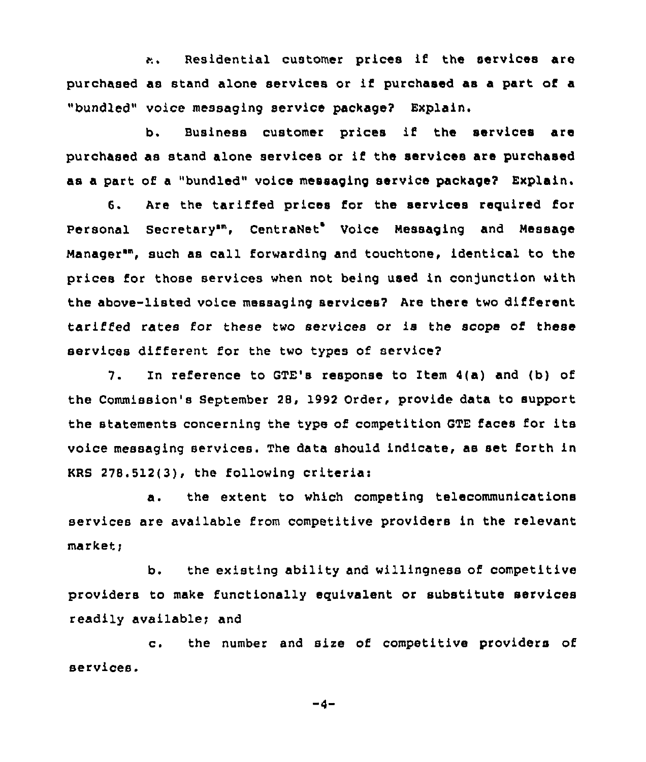Residential customer prices if the services are  $\ddot{a}$ purchased as stand alone services or if purchased as <sup>a</sup> part of <sup>a</sup> "bundled" voice messaging service package? Explain.

b. Business customer prices if the services are purchased as stand alone services or if the services are purchased as a part of a "bundled" voice messaging service package? Explain.

6. Are the tariffed prices for the services required for Personal Secretary<sup>sm</sup>, CentraNet<sup>e</sup> Voice Messaging and Message Manager", such as call forwarding and touchtone, identical to the prices for those services when not being used in conjunction with the above-listed voice messaging services? Are there two different tariffed rates for these two services or is the scope of these services different for the two types of service?

7. In reference to GTE's response to Item 4(a) and (b) of the Commission's September 28, 1992 Order, provide data to support the statements concerning the type of competition GTE faces for its voice messaging services. The data should indicate, as set forth in KRS 278.5l2(3), the following criteria:

a. the extent to which competing telecommunications services are available from competitive providers in the relevant market;

b. the existing ability and willingness of competitive providers to make functionally equivalent or substitute services readily available; and

c. the number and sire of competitive providers of services.

 $-4-$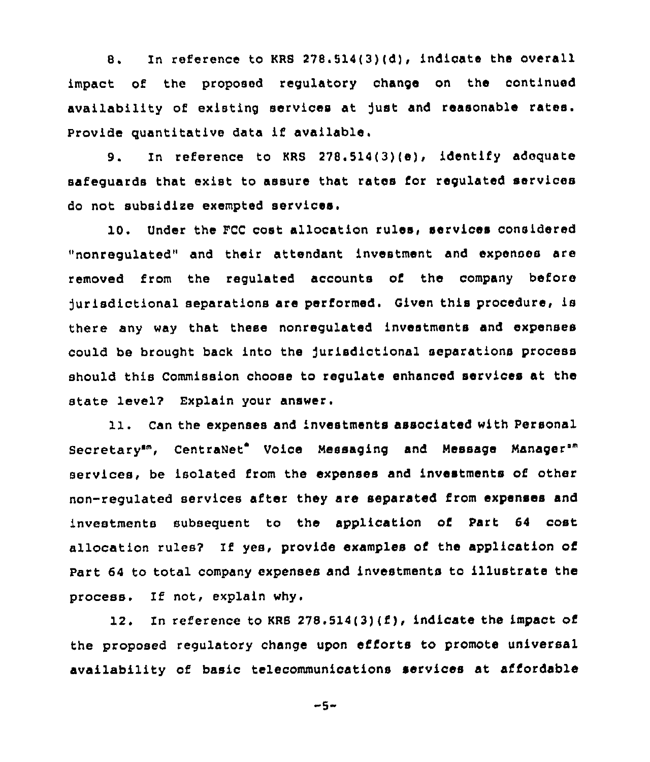8. In reference to KRS 278.514(3)(d), indicate the overall impact of the proposed regulatory change on the continued availability of existing services at )ust and reasonable rates. Provide quantitative data if available.

9. In reference to KRS 278.514(3)(e), identify adequate safeguards that exist to assure that rates for regulated services do not subsidise exempted services.

10. Under the FCC cost allocation rules, services considered "nonregulated" and their attendant investment and expenses are removed from the regulated accounts of the company before )urisdictional separations are performed. given this procedure, is there any way that these nonregulated investments and expenses could be brought back into the Jurisdictional separations process should this Commission choose to regulate enhanced services at the state level? Explain your answer.

11. Can the expenses and investments associated with Personal Secretary<sup>sm</sup>, CentraNet<sup>e</sup> Voice Messaging and Message Manager<sup>sm</sup> be isolated from the expenses and investments of other non-regulated services after they are separated from expenses and investments subsequent to the application of Part 64 cost allocation rules? If yes, provide examples of the application of Part 64 to total company expenses and investments to illustrate the process. If not, explain why.

12. In reference to KRS  $278.514(3)(f)$ , indicate the impact of the proposed regulatory change upon efforts to promote universal availability of basic telecommunications services at affordable

 $-5-$